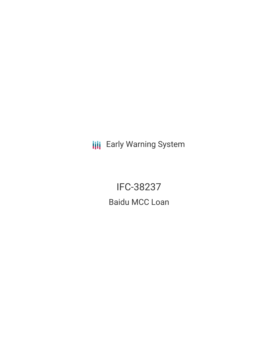**III** Early Warning System

IFC-38237 Baidu MCC Loan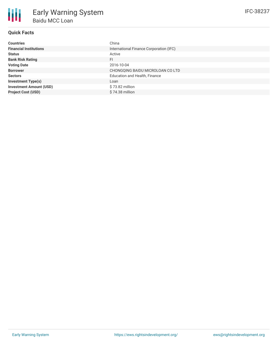## **Quick Facts**

朋

| <b>Countries</b>               | China                                   |
|--------------------------------|-----------------------------------------|
| <b>Financial Institutions</b>  | International Finance Corporation (IFC) |
| <b>Status</b>                  | Active                                  |
| <b>Bank Risk Rating</b>        | FI                                      |
| <b>Voting Date</b>             | 2016-10-04                              |
| <b>Borrower</b>                | CHONGQING BAIDU MICROLOAN CO LTD        |
| <b>Sectors</b>                 | Education and Health, Finance           |
| <b>Investment Type(s)</b>      | Loan                                    |
| <b>Investment Amount (USD)</b> | $$73.82$ million                        |
| <b>Project Cost (USD)</b>      | $$74.38$ million                        |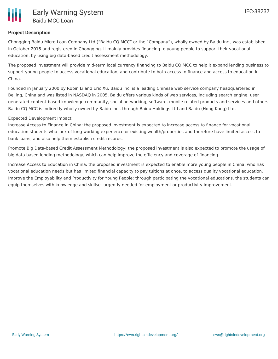

# **Project Description**

Chongqing Baidu Micro-Loan Company Ltd ("Baidu CQ MCC" or the "Company"), wholly owned by Baidu Inc., was established in October 2015 and registered in Chongqing. It mainly provides financing to young people to support their vocational education, by using big data-based credit assessment methodology.

The proposed investment will provide mid-term local currency financing to Baidu CQ MCC to help it expand lending business to support young people to access vocational education, and contribute to both access to finance and access to education in China.

Founded in January 2000 by Robin Li and Eric Xu, Baidu Inc. is a leading Chinese web service company headquartered in Beijing, China and was listed in NASDAQ in 2005. Baidu offers various kinds of web services, including search engine, user generated-content-based knowledge community, social networking, software, mobile related products and services and others. Baidu CQ MCC is indirectly wholly owned by Baidu Inc., through Baidu Holdings Ltd and Baidu (Hong Kong) Ltd.

### Expected Development Impact

Increase Access to Finance in China: the proposed investment is expected to increase access to finance for vocational education students who lack of long working experience or existing wealth/properties and therefore have limited access to bank loans, and also help them establish credit records.

Promote Big Data-based Credit Assessment Methodology: the proposed investment is also expected to promote the usage of big data based lending methodology, which can help improve the efficiency and coverage of financing.

Increase Access to Education in China: the proposed investment is expected to enable more young people in China, who has vocational education needs but has limited financial capacity to pay tuitions at once, to access quality vocational education. Improve the Employability and Productivity for Young People: through participating the vocational educations, the students can equip themselves with knowledge and skillset urgently needed for employment or productivity improvement.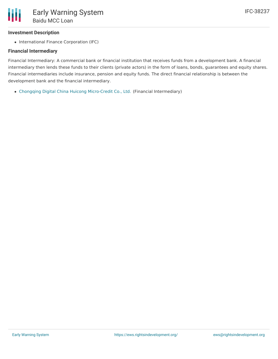## **Investment Description**

• International Finance Corporation (IFC)

### **Financial Intermediary**

Financial Intermediary: A commercial bank or financial institution that receives funds from a development bank. A financial intermediary then lends these funds to their clients (private actors) in the form of loans, bonds, guarantees and equity shares. Financial intermediaries include insurance, pension and equity funds. The direct financial relationship is between the development bank and the financial intermediary.

Chongqing Digital China Huicong [Micro-Credit](file:///actor/891/) Co., Ltd. (Financial Intermediary)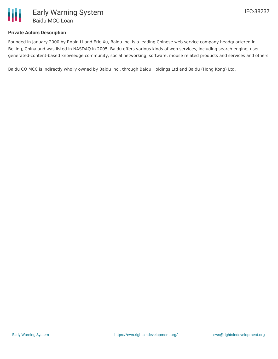

### **Private Actors Description**

Founded in January 2000 by Robin Li and Eric Xu, Baidu Inc. is a leading Chinese web service company headquartered in Beijing, China and was listed in NASDAQ in 2005. Baidu offers various kinds of web services, including search engine, user generated-content-based knowledge community, social networking, software, mobile related products and services and others.

Baidu CQ MCC is indirectly wholly owned by Baidu Inc., through Baidu Holdings Ltd and Baidu (Hong Kong) Ltd.